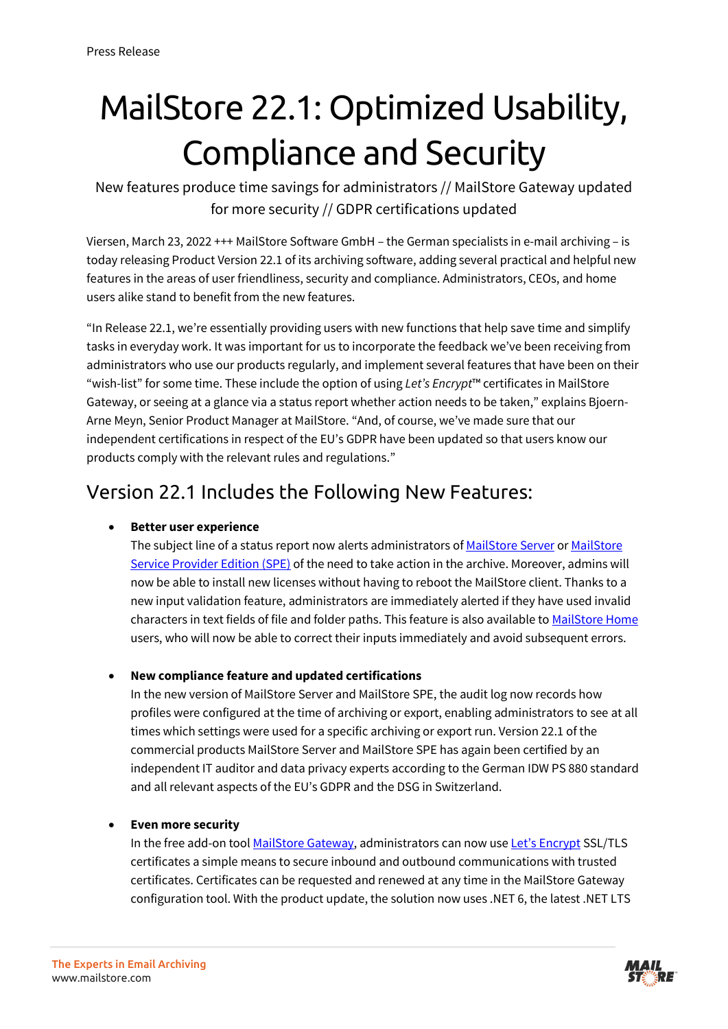# MailStore 22.1: Optimized Usability, Compliance and Security

New features produce time savings for administrators // MailStore Gateway updated for more security // GDPR certifications updated

Viersen, March 23, 2022 +++ MailStore Software GmbH – the German specialists in e-mail archiving – is today releasing Product Version 22.1 of its archiving software, adding several practical and helpful new features in the areas of user friendliness, security and compliance. Administrators, CEOs, and home users alike stand to benefit from the new features.

"In Release 22.1, we're essentially providing users with new functions that help save time and simplify tasks in everyday work. It was important for us to incorporate the feedback we've been receiving from administrators who use our products regularly, and implement several features that have been on their "wish-list" for some time. These include the option of using *Let's Encrypt*™ certificates in MailStore Gateway, or seeing at a glance via a status report whether action needs to be taken," explains Bjoern-Arne Meyn, Senior Product Manager at MailStore. "And, of course, we've made sure that our independent certifications in respect of the EU's GDPR have been updated so that users know our products comply with the relevant rules and regulations."

### Version 22.1 Includes the Following New Features:

#### • **Better user experience**

The subject line of a status report now alerts administrators o[f MailStore Server](https://www.mailstore.com/de/produkte/mailstore-server/) or MailStore [Service Provider Edition \(SPE\)](https://www.mailstore.com/de/produkte/mailstore-spe/) of the need to take action in the archive. Moreover, admins will now be able to install new licenses without having to reboot the MailStore client. Thanks to a new input validation feature, administrators are immediately alerted if they have used invalid characters in text fields of file and folder paths. This feature is also available t[o MailStore Home](https://www.mailstore.com/de/produkte/mailstore-home/) users, who will now be able to correct their inputs immediately and avoid subsequent errors.

#### • **New compliance feature and updated certifications**

In the new version of MailStore Server and MailStore SPE, the audit log now records how profiles were configured at the time of archiving or export, enabling administrators to see at all times which settings were used for a specific archiving or export run. Version 22.1 of the commercial products MailStore Server and MailStore SPE has again been certified by an independent IT auditor and data privacy experts according to the German IDW PS 880 standard and all relevant aspects of the EU's GDPR and the DSG in Switzerland.

#### • **Even more security**

In the free add-on tool [MailStore Gateway,](https://www.mailstore.com/de/produkte/mailstore-gateway/) administrators can now use [Let's Encrypt](https://www.mailstore.com/de/blog/2019/05/02/automatisierte-tls-verschluesselung-zertifikaten-lets-encrypt/) SSL/TLS certificates a simple means to secure inbound and outbound communications with trusted certificates. Certificates can be requested and renewed at any time in the MailStore Gateway configuration tool. With the product update, the solution now uses .NET 6, the latest .NET LTS

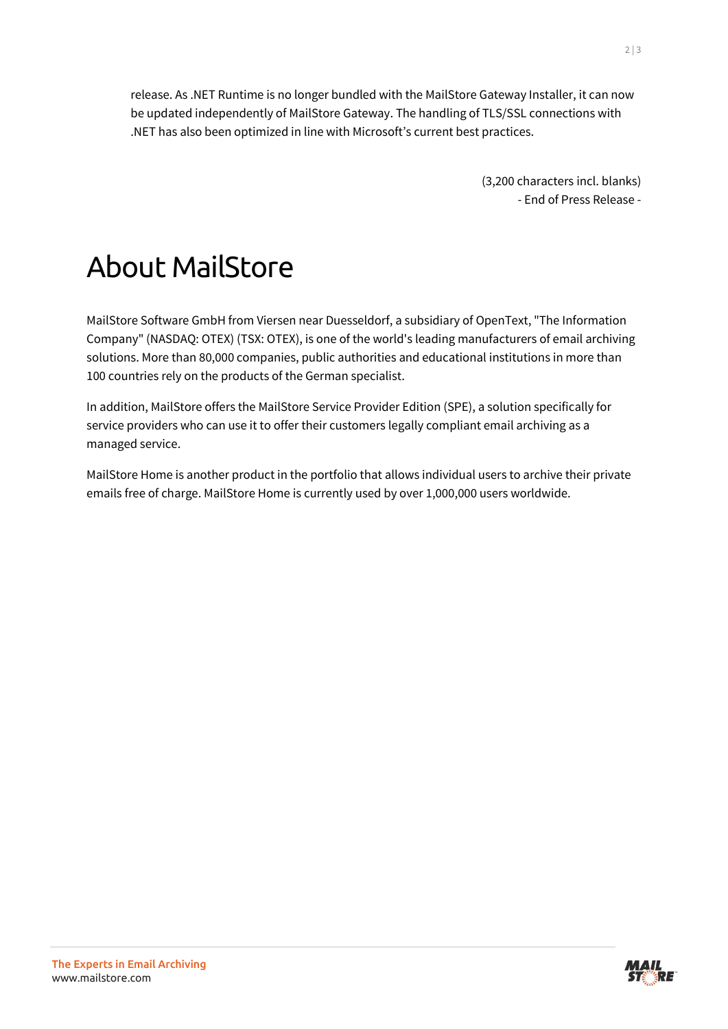release. As .NET Runtime is no longer bundled with the MailStore Gateway Installer, it can now be updated independently of MailStore Gateway. The handling of TLS/SSL connections with .NET has also been optimized in line with Microsoft's current best practices.

> (3,200 characters incl. blanks) - End of Press Release -

## About MailStore

MailStore Software GmbH from Viersen near Duesseldorf, a subsidiary of OpenText, "The Information Company" (NASDAQ: OTEX) (TSX: OTEX), is one of the world's leading manufacturers of email archiving solutions. More than 80,000 companies, public authorities and educational institutions in more than 100 countries rely on the products of the German specialist.

In addition, MailStore offers the MailStore Service Provider Edition (SPE), a solution specifically for service providers who can use it to offer their customers legally compliant email archiving as a managed service.

MailStore Home is another product in the portfolio that allows individual users to archive their private emails free of charge. MailStore Home is currently used by over 1,000,000 users worldwide.